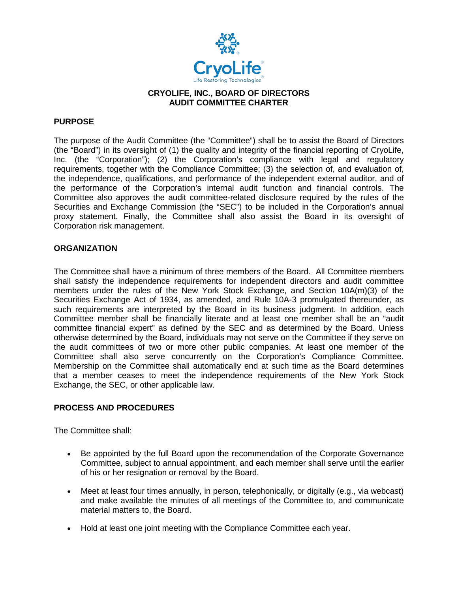

# **CRYOLIFE, INC., BOARD OF DIRECTORS AUDIT COMMITTEE CHARTER**

# **PURPOSE**

The purpose of the Audit Committee (the "Committee") shall be to assist the Board of Directors (the "Board") in its oversight of (1) the quality and integrity of the financial reporting of CryoLife, Inc. (the "Corporation"); (2) the Corporation's compliance with legal and regulatory requirements, together with the Compliance Committee; (3) the selection of, and evaluation of, the independence, qualifications, and performance of the independent external auditor, and of the performance of the Corporation's internal audit function and financial controls. The Committee also approves the audit committee-related disclosure required by the rules of the Securities and Exchange Commission (the "SEC") to be included in the Corporation's annual proxy statement. Finally, the Committee shall also assist the Board in its oversight of Corporation risk management.

#### **ORGANIZATION**

The Committee shall have a minimum of three members of the Board. All Committee members shall satisfy the independence requirements for independent directors and audit committee members under the rules of the New York Stock Exchange, and Section 10A(m)(3) of the Securities Exchange Act of 1934, as amended, and Rule 10A-3 promulgated thereunder, as such requirements are interpreted by the Board in its business judgment. In addition, each Committee member shall be financially literate and at least one member shall be an "audit committee financial expert" as defined by the SEC and as determined by the Board. Unless otherwise determined by the Board, individuals may not serve on the Committee if they serve on the audit committees of two or more other public companies. At least one member of the Committee shall also serve concurrently on the Corporation's Compliance Committee. Membership on the Committee shall automatically end at such time as the Board determines that a member ceases to meet the independence requirements of the New York Stock Exchange, the SEC, or other applicable law.

#### **PROCESS AND PROCEDURES**

The Committee shall:

- Be appointed by the full Board upon the recommendation of the Corporate Governance Committee, subject to annual appointment, and each member shall serve until the earlier of his or her resignation or removal by the Board.
- Meet at least four times annually, in person, telephonically, or digitally (e.g., via webcast) and make available the minutes of all meetings of the Committee to, and communicate material matters to, the Board.
- Hold at least one joint meeting with the Compliance Committee each year.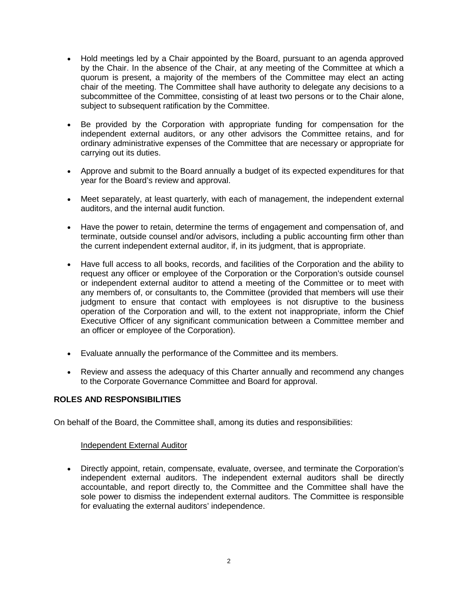- Hold meetings led by a Chair appointed by the Board, pursuant to an agenda approved by the Chair. In the absence of the Chair, at any meeting of the Committee at which a quorum is present, a majority of the members of the Committee may elect an acting chair of the meeting. The Committee shall have authority to delegate any decisions to a subcommittee of the Committee, consisting of at least two persons or to the Chair alone, subject to subsequent ratification by the Committee.
- Be provided by the Corporation with appropriate funding for compensation for the independent external auditors, or any other advisors the Committee retains, and for ordinary administrative expenses of the Committee that are necessary or appropriate for carrying out its duties.
- Approve and submit to the Board annually a budget of its expected expenditures for that year for the Board's review and approval.
- Meet separately, at least quarterly, with each of management, the independent external auditors, and the internal audit function.
- Have the power to retain, determine the terms of engagement and compensation of, and terminate, outside counsel and/or advisors, including a public accounting firm other than the current independent external auditor, if, in its judgment, that is appropriate.
- Have full access to all books, records, and facilities of the Corporation and the ability to request any officer or employee of the Corporation or the Corporation's outside counsel or independent external auditor to attend a meeting of the Committee or to meet with any members of, or consultants to, the Committee (provided that members will use their judgment to ensure that contact with employees is not disruptive to the business operation of the Corporation and will, to the extent not inappropriate, inform the Chief Executive Officer of any significant communication between a Committee member and an officer or employee of the Corporation).
- Evaluate annually the performance of the Committee and its members.
- Review and assess the adequacy of this Charter annually and recommend any changes to the Corporate Governance Committee and Board for approval.

# **ROLES AND RESPONSIBILITIES**

On behalf of the Board, the Committee shall, among its duties and responsibilities:

# Independent External Auditor

• Directly appoint, retain, compensate, evaluate, oversee, and terminate the Corporation's independent external auditors. The independent external auditors shall be directly accountable, and report directly to, the Committee and the Committee shall have the sole power to dismiss the independent external auditors. The Committee is responsible for evaluating the external auditors' independence.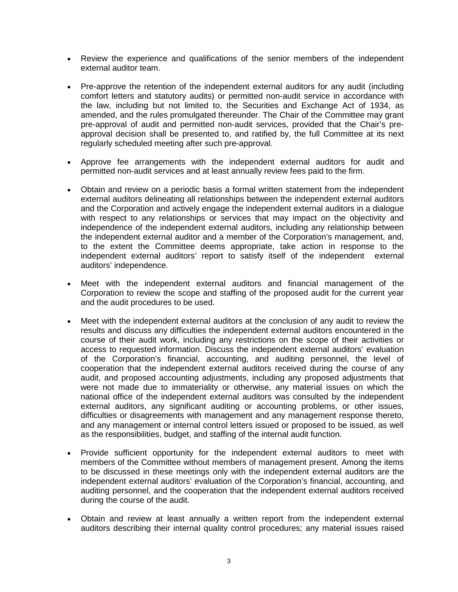- Review the experience and qualifications of the senior members of the independent external auditor team.
- Pre-approve the retention of the independent external auditors for any audit (including comfort letters and statutory audits) or permitted non-audit service in accordance with the law, including but not limited to, the Securities and Exchange Act of 1934, as amended, and the rules promulgated thereunder. The Chair of the Committee may grant pre-approval of audit and permitted non-audit services, provided that the Chair's preapproval decision shall be presented to, and ratified by, the full Committee at its next regularly scheduled meeting after such pre-approval.
- Approve fee arrangements with the independent external auditors for audit and permitted non-audit services and at least annually review fees paid to the firm.
- Obtain and review on a periodic basis a formal written statement from the independent external auditors delineating all relationships between the independent external auditors and the Corporation and actively engage the independent external auditors in a dialogue with respect to any relationships or services that may impact on the objectivity and independence of the independent external auditors, including any relationship between the independent external auditor and a member of the Corporation's management, and, to the extent the Committee deems appropriate, take action in response to the independent external auditors' report to satisfy itself of the independent external auditors' independence.
- Meet with the independent external auditors and financial management of the Corporation to review the scope and staffing of the proposed audit for the current year and the audit procedures to be used.
- Meet with the independent external auditors at the conclusion of any audit to review the results and discuss any difficulties the independent external auditors encountered in the course of their audit work, including any restrictions on the scope of their activities or access to requested information. Discuss the independent external auditors' evaluation of the Corporation's financial, accounting, and auditing personnel, the level of cooperation that the independent external auditors received during the course of any audit, and proposed accounting adjustments, including any proposed adjustments that were not made due to immateriality or otherwise, any material issues on which the national office of the independent external auditors was consulted by the independent external auditors, any significant auditing or accounting problems, or other issues, difficulties or disagreements with management and any management response thereto, and any management or internal control letters issued or proposed to be issued, as well as the responsibilities, budget, and staffing of the internal audit function.
- Provide sufficient opportunity for the independent external auditors to meet with members of the Committee without members of management present. Among the items to be discussed in these meetings only with the independent external auditors are the independent external auditors' evaluation of the Corporation's financial, accounting, and auditing personnel, and the cooperation that the independent external auditors received during the course of the audit.
- Obtain and review at least annually a written report from the independent external auditors describing their internal quality control procedures; any material issues raised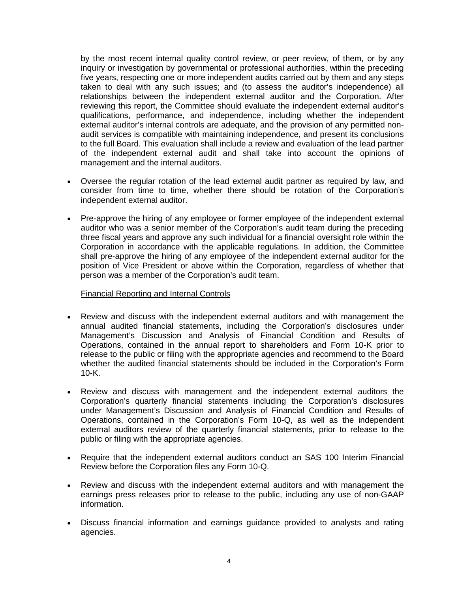by the most recent internal quality control review, or peer review, of them, or by any inquiry or investigation by governmental or professional authorities, within the preceding five years, respecting one or more independent audits carried out by them and any steps taken to deal with any such issues; and (to assess the auditor's independence) all relationships between the independent external auditor and the Corporation. After reviewing this report, the Committee should evaluate the independent external auditor's qualifications, performance, and independence, including whether the independent external auditor's internal controls are adequate, and the provision of any permitted nonaudit services is compatible with maintaining independence, and present its conclusions to the full Board. This evaluation shall include a review and evaluation of the lead partner of the independent external audit and shall take into account the opinions of management and the internal auditors.

- Oversee the regular rotation of the lead external audit partner as required by law, and consider from time to time, whether there should be rotation of the Corporation's independent external auditor.
- Pre-approve the hiring of any employee or former employee of the independent external auditor who was a senior member of the Corporation's audit team during the preceding three fiscal years and approve any such individual for a financial oversight role within the Corporation in accordance with the applicable regulations. In addition, the Committee shall pre-approve the hiring of any employee of the independent external auditor for the position of Vice President or above within the Corporation, regardless of whether that person was a member of the Corporation's audit team.

#### Financial Reporting and Internal Controls

- Review and discuss with the independent external auditors and with management the annual audited financial statements, including the Corporation's disclosures under Management's Discussion and Analysis of Financial Condition and Results of Operations, contained in the annual report to shareholders and Form 10-K prior to release to the public or filing with the appropriate agencies and recommend to the Board whether the audited financial statements should be included in the Corporation's Form 10-K.
- Review and discuss with management and the independent external auditors the Corporation's quarterly financial statements including the Corporation's disclosures under Management's Discussion and Analysis of Financial Condition and Results of Operations, contained in the Corporation's Form 10-Q, as well as the independent external auditors review of the quarterly financial statements, prior to release to the public or filing with the appropriate agencies.
- Require that the independent external auditors conduct an SAS 100 Interim Financial Review before the Corporation files any Form 10-Q.
- Review and discuss with the independent external auditors and with management the earnings press releases prior to release to the public, including any use of non-GAAP information.
- Discuss financial information and earnings guidance provided to analysts and rating agencies.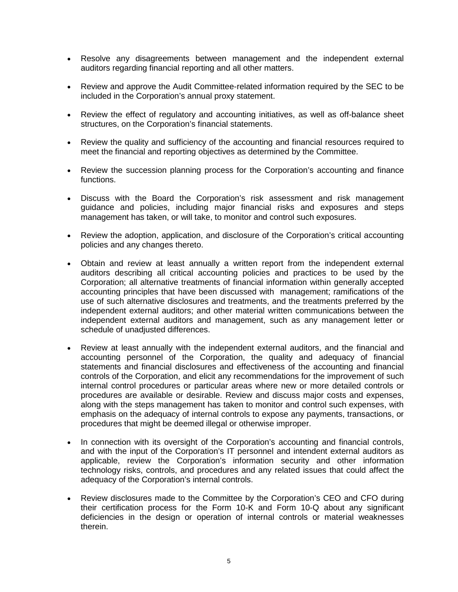- Resolve any disagreements between management and the independent external auditors regarding financial reporting and all other matters.
- Review and approve the Audit Committee-related information required by the SEC to be included in the Corporation's annual proxy statement.
- Review the effect of regulatory and accounting initiatives, as well as off-balance sheet structures, on the Corporation's financial statements.
- Review the quality and sufficiency of the accounting and financial resources required to meet the financial and reporting objectives as determined by the Committee.
- Review the succession planning process for the Corporation's accounting and finance functions.
- Discuss with the Board the Corporation's risk assessment and risk management guidance and policies, including major financial risks and exposures and steps management has taken, or will take, to monitor and control such exposures.
- Review the adoption, application, and disclosure of the Corporation's critical accounting policies and any changes thereto.
- Obtain and review at least annually a written report from the independent external auditors describing all critical accounting policies and practices to be used by the Corporation; all alternative treatments of financial information within generally accepted accounting principles that have been discussed with management; ramifications of the use of such alternative disclosures and treatments, and the treatments preferred by the independent external auditors; and other material written communications between the independent external auditors and management, such as any management letter or schedule of unadjusted differences.
- Review at least annually with the independent external auditors, and the financial and accounting personnel of the Corporation, the quality and adequacy of financial statements and financial disclosures and effectiveness of the accounting and financial controls of the Corporation, and elicit any recommendations for the improvement of such internal control procedures or particular areas where new or more detailed controls or procedures are available or desirable. Review and discuss major costs and expenses, along with the steps management has taken to monitor and control such expenses, with emphasis on the adequacy of internal controls to expose any payments, transactions, or procedures that might be deemed illegal or otherwise improper.
- In connection with its oversight of the Corporation's accounting and financial controls, and with the input of the Corporation's IT personnel and intendent external auditors as applicable, review the Corporation's information security and other information technology risks, controls, and procedures and any related issues that could affect the adequacy of the Corporation's internal controls.
- Review disclosures made to the Committee by the Corporation's CEO and CFO during their certification process for the Form 10-K and Form 10-Q about any significant deficiencies in the design or operation of internal controls or material weaknesses therein.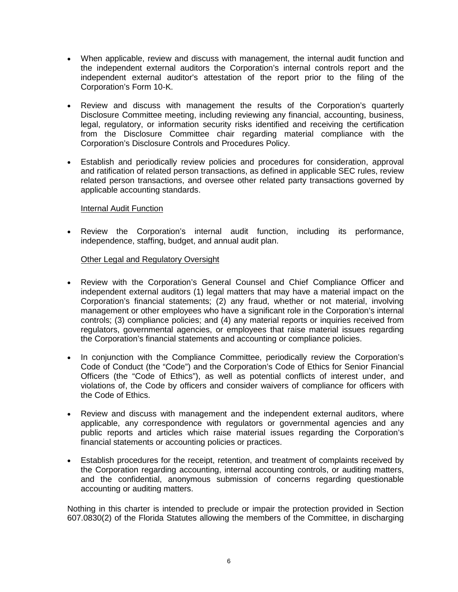- When applicable, review and discuss with management, the internal audit function and the independent external auditors the Corporation's internal controls report and the independent external auditor's attestation of the report prior to the filing of the Corporation's Form 10-K.
- Review and discuss with management the results of the Corporation's quarterly Disclosure Committee meeting, including reviewing any financial, accounting, business, legal, regulatory, or information security risks identified and receiving the certification from the Disclosure Committee chair regarding material compliance with the Corporation's Disclosure Controls and Procedures Policy.
- Establish and periodically review policies and procedures for consideration, approval and ratification of related person transactions, as defined in applicable SEC rules, review related person transactions, and oversee other related party transactions governed by applicable accounting standards.

# Internal Audit Function

• Review the Corporation's internal audit function, including its performance, independence, staffing, budget, and annual audit plan.

#### Other Legal and Regulatory Oversight

- Review with the Corporation's General Counsel and Chief Compliance Officer and independent external auditors (1) legal matters that may have a material impact on the Corporation's financial statements; (2) any fraud, whether or not material, involving management or other employees who have a significant role in the Corporation's internal controls; (3) compliance policies; and (4) any material reports or inquiries received from regulators, governmental agencies, or employees that raise material issues regarding the Corporation's financial statements and accounting or compliance policies.
- In conjunction with the Compliance Committee, periodically review the Corporation's Code of Conduct (the "Code") and the Corporation's Code of Ethics for Senior Financial Officers (the "Code of Ethics"), as well as potential conflicts of interest under, and violations of, the Code by officers and consider waivers of compliance for officers with the Code of Ethics.
- Review and discuss with management and the independent external auditors, where applicable, any correspondence with regulators or governmental agencies and any public reports and articles which raise material issues regarding the Corporation's financial statements or accounting policies or practices.
- Establish procedures for the receipt, retention, and treatment of complaints received by the Corporation regarding accounting, internal accounting controls, or auditing matters, and the confidential, anonymous submission of concerns regarding questionable accounting or auditing matters.

Nothing in this charter is intended to preclude or impair the protection provided in Section 607.0830(2) of the Florida Statutes allowing the members of the Committee, in discharging